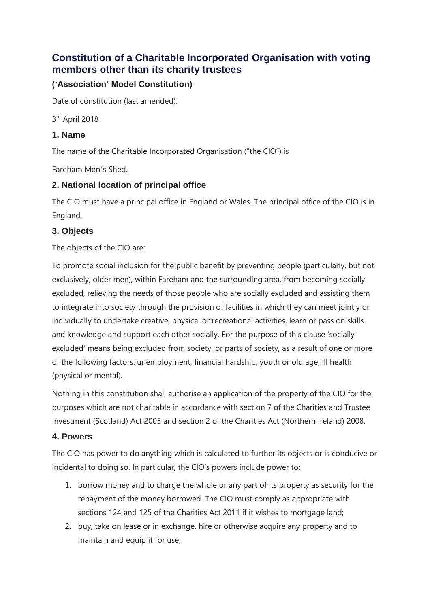# **Constitution of a Charitable Incorporated Organisation with voting members other than its charity trustees**

# **('Association' Model Constitution)**

Date of constitution (last amended):

3 rd April 2018

#### **1. Name**

The name of the Charitable Incorporated Organisation ("the CIO") is

Fareham Men's Shed.

### **2. National location of principal office**

The CIO must have a principal office in England or Wales. The principal office of the CIO is in England.

### **3. Objects**

The objects of the CIO are:

To promote social inclusion for the public benefit by preventing people (particularly, but not exclusively, older men), within Fareham and the surrounding area, from becoming socially excluded, relieving the needs of those people who are socially excluded and assisting them to integrate into society through the provision of facilities in which they can meet jointly or individually to undertake creative, physical or recreational activities, learn or pass on skills and knowledge and support each other socially. For the purpose of this clause 'socially excluded' means being excluded from society, or parts of society, as a result of one or more of the following factors: unemployment; financial hardship; youth or old age; ill health (physical or mental).

Nothing in this constitution shall authorise an application of the property of the CIO for the purposes which are not charitable in accordance with section 7 of the Charities and Trustee Investment (Scotland) Act 2005 and section 2 of the Charities Act (Northern Ireland) 2008.

#### **4. Powers**

The CIO has power to do anything which is calculated to further its objects or is conducive or incidental to doing so. In particular, the CIO's powers include power to:

- 1. borrow money and to charge the whole or any part of its property as security for the repayment of the money borrowed. The CIO must comply as appropriate with sections 124 and 125 of the Charities Act 2011 if it wishes to mortgage land;
- 2. buy, take on lease or in exchange, hire or otherwise acquire any property and to maintain and equip it for use;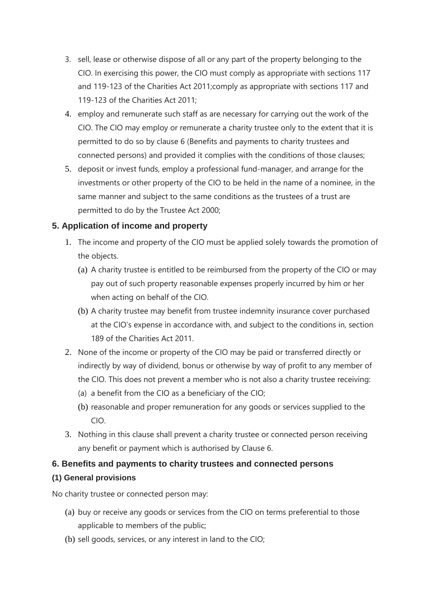- 3. sell, lease or otherwise dispose of all or any part of the property belonging to the CIO. In exercising this power, the CIO must comply as appropriate with sections 117 and 119-123 of the Charities Act 2011;comply as appropriate with sections 117 and 119-123 of the Charities Act 2011;
- 4. employ and remunerate such staff as are necessary for carrying out the work of the CIO. The CIO may employ or remunerate a charity trustee only to the extent that it is permitted to do so by clause 6 (Benefits and payments to charity trustees and connected persons) and provided it complies with the conditions of those clauses;
- 5. deposit or invest funds, employ a professional fund-manager, and arrange for the investments or other property of the CIO to be held in the name of a nominee, in the same manner and subject to the same conditions as the trustees of a trust are permitted to do by the Trustee Act 2000;

## **5. Application of income and property**

- 1. The income and property of the CIO must be applied solely towards the promotion of the objects.
	- (a) A charity trustee is entitled to be reimbursed from the property of the CIO or may pay out of such property reasonable expenses properly incurred by him or her when acting on behalf of the CIO.
	- (b) A charity trustee may benefit from trustee indemnity insurance cover purchased at the CIO's expense in accordance with, and subject to the conditions in, section 189 of the Charities Act 2011.
- 2. None of the income or property of the CIO may be paid or transferred directly or indirectly by way of dividend, bonus or otherwise by way of profit to any member of the CIO. This does not prevent a member who is not also a charity trustee receiving:
	- (a) a benefit from the CIO as a beneficiary of the CIO;
	- (b) reasonable and proper remuneration for any goods or services supplied to the CIO.
- 3. Nothing in this clause shall prevent a charity trustee or connected person receiving any benefit or payment which is authorised by Clause 6.

# **6. Benefits and payments to charity trustees and connected persons (1) General provisions**

No charity trustee or connected person may:

- (a) buy or receive any goods or services from the CIO on terms preferential to those applicable to members of the public;
- (b) sell goods, services, or any interest in land to the CIO;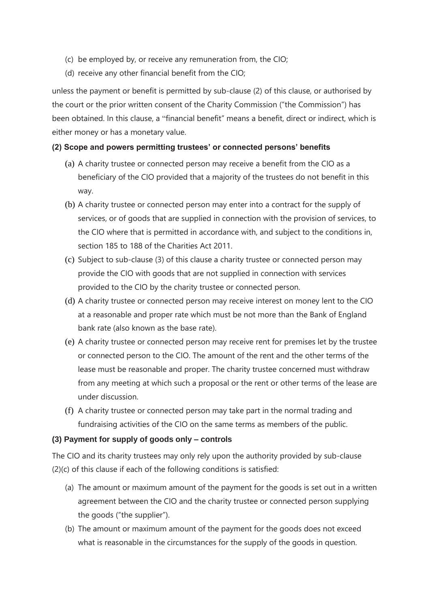- (c) be employed by, or receive any remuneration from, the CIO;
- (d) receive any other financial benefit from the CIO;

unless the payment or benefit is permitted by sub-clause (2) of this clause, or authorised by the court or the prior written consent of the Charity Commission ("the Commission") has been obtained. In this clause, a "financial benefit" means a benefit, direct or indirect, which is either money or has a monetary value.

#### **(2) Scope and powers permitting trustees' or connected persons' benefits**

- (a) A charity trustee or connected person may receive a benefit from the CIO as a beneficiary of the CIO provided that a majority of the trustees do not benefit in this way.
- (b) A charity trustee or connected person may enter into a contract for the supply of services, or of goods that are supplied in connection with the provision of services, to the CIO where that is permitted in accordance with, and subject to the conditions in, section 185 to 188 of the Charities Act 2011.
- (c) Subject to sub-clause (3) of this clause a charity trustee or connected person may provide the CIO with goods that are not supplied in connection with services provided to the CIO by the charity trustee or connected person.
- (d) A charity trustee or connected person may receive interest on money lent to the CIO at a reasonable and proper rate which must be not more than the Bank of England bank rate (also known as the base rate).
- (e) A charity trustee or connected person may receive rent for premises let by the trustee or connected person to the CIO. The amount of the rent and the other terms of the lease must be reasonable and proper. The charity trustee concerned must withdraw from any meeting at which such a proposal or the rent or other terms of the lease are under discussion.
- (f) A charity trustee or connected person may take part in the normal trading and fundraising activities of the CIO on the same terms as members of the public.

#### **(3) Payment for supply of goods only – controls**

The CIO and its charity trustees may only rely upon the authority provided by sub-clause (2)(c) of this clause if each of the following conditions is satisfied:

- (a) The amount or maximum amount of the payment for the goods is set out in a written agreement between the CIO and the charity trustee or connected person supplying the goods ("the supplier").
- (b) The amount or maximum amount of the payment for the goods does not exceed what is reasonable in the circumstances for the supply of the goods in question.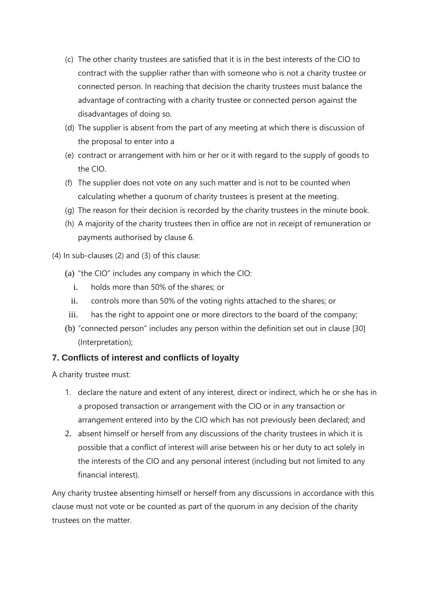- (c) The other charity trustees are satisfied that it is in the best interests of the CIO to contract with the supplier rather than with someone who is not a charity trustee or connected person. In reaching that decision the charity trustees must balance the advantage of contracting with a charity trustee or connected person against the disadvantages of doing so.
- (d) The supplier is absent from the part of any meeting at which there is discussion of the proposal to enter into a
- (e) contract or arrangement with him or her or it with regard to the supply of goods to the CIO.
- (f) The supplier does not vote on any such matter and is not to be counted when calculating whether a quorum of charity trustees is present at the meeting.
- (g) The reason for their decision is recorded by the charity trustees in the minute book.
- (h) A majority of the charity trustees then in office are not in receipt of remuneration or payments authorised by clause 6.
- (4) In sub-clauses (2) and (3) of this clause:
	- (a) "the CIO" includes any company in which the CIO:
		- i. holds more than 50% of the shares; or
		- ii. controls more than 50% of the voting rights attached to the shares; or
	- iii. has the right to appoint one or more directors to the board of the company;
	- (b) "connected person" includes any person within the definition set out in clause [30] (Interpretation);

### **7. Conflicts of interest and conflicts of loyalty**

A charity trustee must:

- 1. declare the nature and extent of any interest, direct or indirect, which he or she has in a proposed transaction or arrangement with the CIO or in any transaction or arrangement entered into by the CIO which has not previously been declared; and
- 2. absent himself or herself from any discussions of the charity trustees in which it is possible that a conflict of interest will arise between his or her duty to act solely in the interests of the CIO and any personal interest (including but not limited to any financial interest).

Any charity trustee absenting himself or herself from any discussions in accordance with this clause must not vote or be counted as part of the quorum in any decision of the charity trustees on the matter.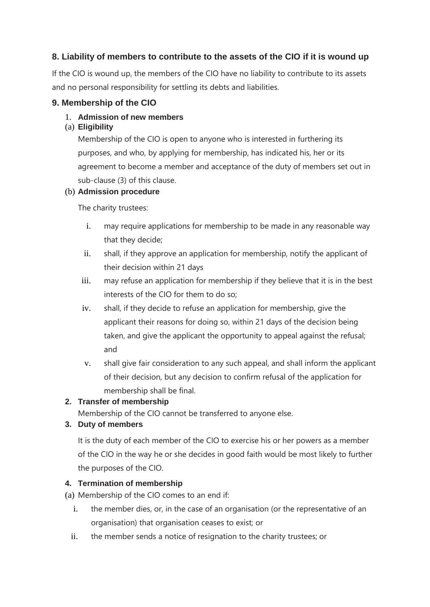## **8. Liability of members to contribute to the assets of the CIO if it is wound up**

If the CIO is wound up, the members of the CIO have no liability to contribute to its assets and no personal responsibility for settling its debts and liabilities.

#### **9. Membership of the CIO**

#### 1. **Admission of new members**

(a) **Eligibility**

Membership of the CIO is open to anyone who is interested in furthering its purposes, and who, by applying for membership, has indicated his, her or its agreement to become a member and acceptance of the duty of members set out in sub-clause (3) of this clause.

#### (b) **Admission procedure**

The charity trustees:

- i. may require applications for membership to be made in any reasonable way that they decide;
- ii. shall, if they approve an application for membership, notify the applicant of their decision within 21 days
- iii. may refuse an application for membership if they believe that it is in the best interests of the CIO for them to do so;
- iv. shall, if they decide to refuse an application for membership, give the applicant their reasons for doing so, within 21 days of the decision being taken, and give the applicant the opportunity to appeal against the refusal; and
- v. shall give fair consideration to any such appeal, and shall inform the applicant of their decision, but any decision to confirm refusal of the application for membership shall be final.

### **2. Transfer of membership**

Membership of the CIO cannot be transferred to anyone else.

### **3. Duty of members**

It is the duty of each member of the CIO to exercise his or her powers as a member of the CIO in the way he or she decides in good faith would be most likely to further the purposes of the CIO.

### **4. Termination of membership**

- (a) Membership of the CIO comes to an end if:
	- i. the member dies, or, in the case of an organisation (or the representative of an organisation) that organisation ceases to exist; or
	- ii. the member sends a notice of resignation to the charity trustees; or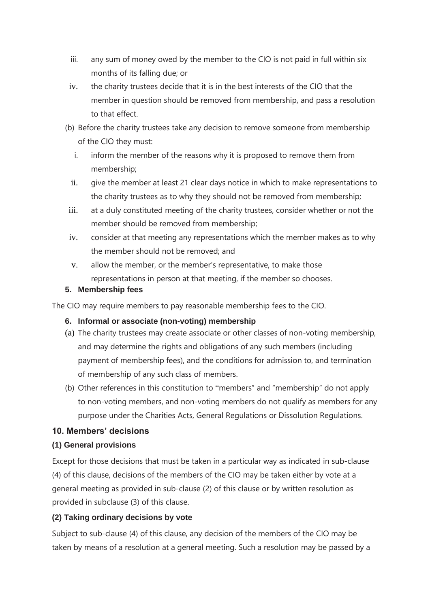- iii. any sum of money owed by the member to the CIO is not paid in full within six months of its falling due; or
- iv. the charity trustees decide that it is in the best interests of the CIO that the member in question should be removed from membership, and pass a resolution to that effect.
- (b) Before the charity trustees take any decision to remove someone from membership of the CIO they must:
	- i. inform the member of the reasons why it is proposed to remove them from membership;
	- ii. give the member at least 21 clear days notice in which to make representations to the charity trustees as to why they should not be removed from membership;
- iii. at a duly constituted meeting of the charity trustees, consider whether or not the member should be removed from membership;
- iv. consider at that meeting any representations which the member makes as to why the member should not be removed; and
- v. allow the member, or the member's representative, to make those representations in person at that meeting, if the member so chooses.

## **5. Membership fees**

The CIO may require members to pay reasonable membership fees to the CIO.

# **6. Informal or associate (non-voting) membership**

- (a) The charity trustees may create associate or other classes of non-voting membership, and may determine the rights and obligations of any such members (including payment of membership fees), and the conditions for admission to, and termination of membership of any such class of members.
- (b) Other references in this constitution to "members" and "membership" do not apply to non-voting members, and non-voting members do not qualify as members for any purpose under the Charities Acts, General Regulations or Dissolution Regulations.

# **10. Members' decisions**

# **(1) General provisions**

Except for those decisions that must be taken in a particular way as indicated in sub-clause (4) of this clause, decisions of the members of the CIO may be taken either by vote at a general meeting as provided in sub-clause (2) of this clause or by written resolution as provided in subclause (3) of this clause.

# **(2) Taking ordinary decisions by vote**

Subject to sub-clause (4) of this clause, any decision of the members of the CIO may be taken by means of a resolution at a general meeting. Such a resolution may be passed by a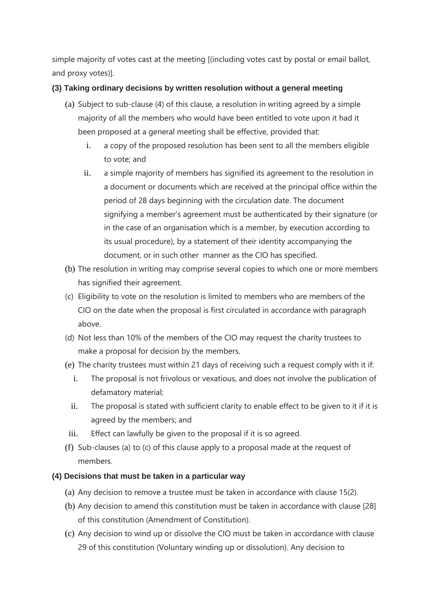simple majority of votes cast at the meeting [(including votes cast by postal or email ballot, and proxy votes)].

## **(3) Taking ordinary decisions by written resolution without a general meeting**

- (a) Subject to sub-clause (4) of this clause, a resolution in writing agreed by a simple majority of all the members who would have been entitled to vote upon it had it been proposed at a general meeting shall be effective, provided that:
	- i. a copy of the proposed resolution has been sent to all the members eligible to vote; and
	- ii. a simple majority of members has signified its agreement to the resolution in a document or documents which are received at the principal office within the period of 28 days beginning with the circulation date. The document signifying a member's agreement must be authenticated by their signature (or in the case of an organisation which is a member, by execution according to its usual procedure), by a statement of their identity accompanying the document, or in such other manner as the CIO has specified.
- (b) The resolution in writing may comprise several copies to which one or more members has signified their agreement.
- (c) Eligibility to vote on the resolution is limited to members who are members of the CIO on the date when the proposal is first circulated in accordance with paragraph above.
- (d) Not less than 10% of the members of the CIO may request the charity trustees to make a proposal for decision by the members.
- (e) The charity trustees must within 21 days of receiving such a request comply with it if:
	- i. The proposal is not frivolous or vexatious, and does not involve the publication of defamatory material;
	- ii. The proposal is stated with sufficient clarity to enable effect to be given to it if it is agreed by the members; and
- iii. Effect can lawfully be given to the proposal if it is so agreed.
- (f) Sub-clauses (a) to (c) of this clause apply to a proposal made at the request of members.

### **(4) Decisions that must be taken in a particular way**

- (a) Any decision to remove a trustee must be taken in accordance with clause 15(2).
- (b) Any decision to amend this constitution must be taken in accordance with clause [28] of this constitution (Amendment of Constitution).
- (c) Any decision to wind up or dissolve the CIO must be taken in accordance with clause 29 of this constitution (Voluntary winding up or dissolution). Any decision to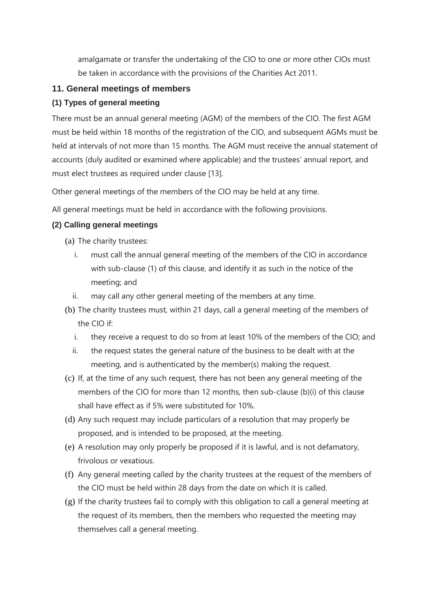amalgamate or transfer the undertaking of the CIO to one or more other CIOs must be taken in accordance with the provisions of the Charities Act 2011.

### **11. General meetings of members**

## **(1) Types of general meeting**

There must be an annual general meeting (AGM) of the members of the CIO. The first AGM must be held within 18 months of the registration of the CIO, and subsequent AGMs must be held at intervals of not more than 15 months. The AGM must receive the annual statement of accounts (duly audited or examined where applicable) and the trustees' annual report, and must elect trustees as required under clause [13].

Other general meetings of the members of the CIO may be held at any time.

All general meetings must be held in accordance with the following provisions.

# **(2) Calling general meetings**

(a) The charity trustees:

- i. must call the annual general meeting of the members of the CIO in accordance with sub-clause (1) of this clause, and identify it as such in the notice of the meeting; and
- ii. may call any other general meeting of the members at any time.
- (b) The charity trustees must, within 21 days, call a general meeting of the members of the CIO if:
	- i. they receive a request to do so from at least 10% of the members of the CIO; and
	- ii. the request states the general nature of the business to be dealt with at the meeting, and is authenticated by the member(s) making the request.
- (c) If, at the time of any such request, there has not been any general meeting of the members of the CIO for more than 12 months, then sub-clause (b)(i) of this clause shall have effect as if 5% were substituted for 10%.
- (d) Any such request may include particulars of a resolution that may properly be proposed, and is intended to be proposed, at the meeting.
- (e) A resolution may only properly be proposed if it is lawful, and is not defamatory, frivolous or vexatious.
- (f) Any general meeting called by the charity trustees at the request of the members of the CIO must be held within 28 days from the date on which it is called.
- (g) If the charity trustees fail to comply with this obligation to call a general meeting at the request of its members, then the members who requested the meeting may themselves call a general meeting.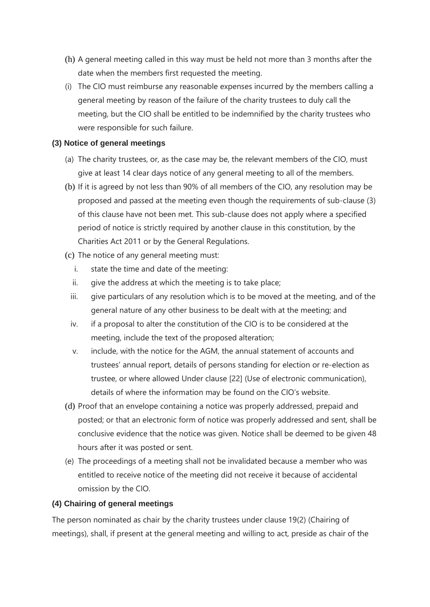- (h) A general meeting called in this way must be held not more than 3 months after the date when the members first requested the meeting.
- (i) The CIO must reimburse any reasonable expenses incurred by the members calling a general meeting by reason of the failure of the charity trustees to duly call the meeting, but the CIO shall be entitled to be indemnified by the charity trustees who were responsible for such failure.

#### **(3) Notice of general meetings**

- (a) The charity trustees, or, as the case may be, the relevant members of the CIO, must give at least 14 clear days notice of any general meeting to all of the members.
- (b) If it is agreed by not less than 90% of all members of the CIO, any resolution may be proposed and passed at the meeting even though the requirements of sub-clause (3) of this clause have not been met. This sub-clause does not apply where a specified period of notice is strictly required by another clause in this constitution, by the Charities Act 2011 or by the General Regulations.
- (c) The notice of any general meeting must:
	- i. state the time and date of the meeting:
	- ii. give the address at which the meeting is to take place;
	- iii. give particulars of any resolution which is to be moved at the meeting, and of the general nature of any other business to be dealt with at the meeting; and
	- iv. if a proposal to alter the constitution of the CIO is to be considered at the meeting, include the text of the proposed alteration;
	- v. include, with the notice for the AGM, the annual statement of accounts and trustees' annual report, details of persons standing for election or re-election as trustee, or where allowed Under clause [22] (Use of electronic communication), details of where the information may be found on the CIO's website.
- (d) Proof that an envelope containing a notice was properly addressed, prepaid and posted; or that an electronic form of notice was properly addressed and sent, shall be conclusive evidence that the notice was given. Notice shall be deemed to be given 48 hours after it was posted or sent.
- (e) The proceedings of a meeting shall not be invalidated because a member who was entitled to receive notice of the meeting did not receive it because of accidental omission by the CIO.

### **(4) Chairing of general meetings**

The person nominated as chair by the charity trustees under clause 19(2) (Chairing of meetings), shall, if present at the general meeting and willing to act, preside as chair of the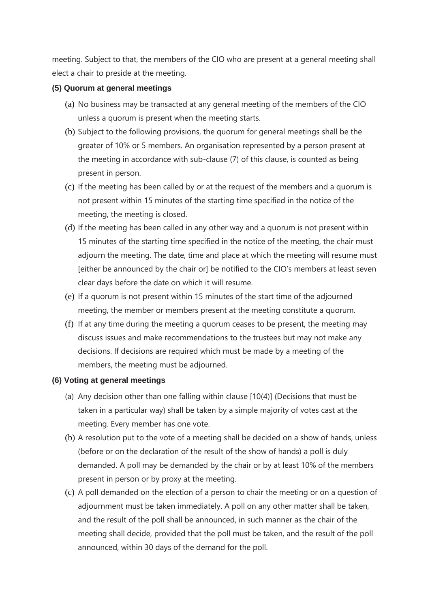meeting. Subject to that, the members of the CIO who are present at a general meeting shall elect a chair to preside at the meeting.

#### **(5) Quorum at general meetings**

- (a) No business may be transacted at any general meeting of the members of the CIO unless a quorum is present when the meeting starts.
- (b) Subject to the following provisions, the quorum for general meetings shall be the greater of 10% or 5 members. An organisation represented by a person present at the meeting in accordance with sub-clause (7) of this clause, is counted as being present in person.
- (c) If the meeting has been called by or at the request of the members and a quorum is not present within 15 minutes of the starting time specified in the notice of the meeting, the meeting is closed.
- (d) If the meeting has been called in any other way and a quorum is not present within 15 minutes of the starting time specified in the notice of the meeting, the chair must adjourn the meeting. The date, time and place at which the meeting will resume must [either be announced by the chair or] be notified to the CIO's members at least seven clear days before the date on which it will resume.
- (e) If a quorum is not present within 15 minutes of the start time of the adjourned meeting, the member or members present at the meeting constitute a quorum.
- (f) If at any time during the meeting a quorum ceases to be present, the meeting may discuss issues and make recommendations to the trustees but may not make any decisions. If decisions are required which must be made by a meeting of the members, the meeting must be adjourned.

#### **(6) Voting at general meetings**

- (a) Any decision other than one falling within clause [10(4)] (Decisions that must be taken in a particular way) shall be taken by a simple majority of votes cast at the meeting. Every member has one vote.
- (b) A resolution put to the vote of a meeting shall be decided on a show of hands, unless (before or on the declaration of the result of the show of hands) a poll is duly demanded. A poll may be demanded by the chair or by at least 10% of the members present in person or by proxy at the meeting.
- (c) A poll demanded on the election of a person to chair the meeting or on a question of adjournment must be taken immediately. A poll on any other matter shall be taken, and the result of the poll shall be announced, in such manner as the chair of the meeting shall decide, provided that the poll must be taken, and the result of the poll announced, within 30 days of the demand for the poll.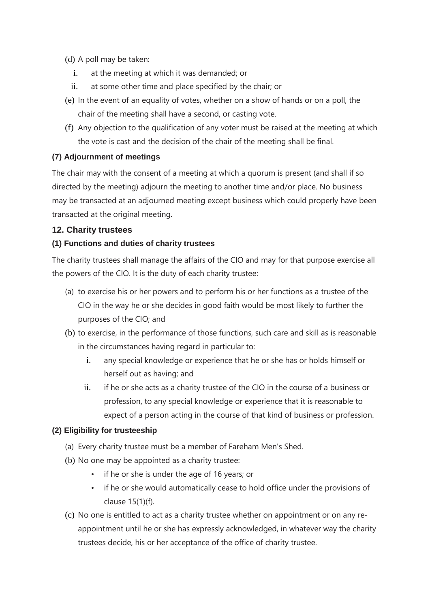#### (d) A poll may be taken:

- i. at the meeting at which it was demanded; or
- ii. at some other time and place specified by the chair; or
- (e) In the event of an equality of votes, whether on a show of hands or on a poll, the chair of the meeting shall have a second, or casting vote.
- (f) Any objection to the qualification of any voter must be raised at the meeting at which the vote is cast and the decision of the chair of the meeting shall be final.

### **(7) Adjournment of meetings**

The chair may with the consent of a meeting at which a quorum is present (and shall if so directed by the meeting) adjourn the meeting to another time and/or place. No business may be transacted at an adjourned meeting except business which could properly have been transacted at the original meeting.

## **12. Charity trustees**

### **(1) Functions and duties of charity trustees**

The charity trustees shall manage the affairs of the CIO and may for that purpose exercise all the powers of the CIO. It is the duty of each charity trustee:

- (a) to exercise his or her powers and to perform his or her functions as a trustee of the CIO in the way he or she decides in good faith would be most likely to further the purposes of the CIO; and
- (b) to exercise, in the performance of those functions, such care and skill as is reasonable in the circumstances having regard in particular to:
	- i. any special knowledge or experience that he or she has or holds himself or herself out as having; and
	- ii. if he or she acts as a charity trustee of the CIO in the course of a business or profession, to any special knowledge or experience that it is reasonable to expect of a person acting in the course of that kind of business or profession.

### **(2) Eligibility for trusteeship**

- (a) Every charity trustee must be a member of Fareham Men's Shed.
- (b) No one may be appointed as a charity trustee:
	- if he or she is under the age of 16 years; or
	- if he or she would automatically cease to hold office under the provisions of clause 15(1)(f).
- (c) No one is entitled to act as a charity trustee whether on appointment or on any reappointment until he or she has expressly acknowledged, in whatever way the charity trustees decide, his or her acceptance of the office of charity trustee.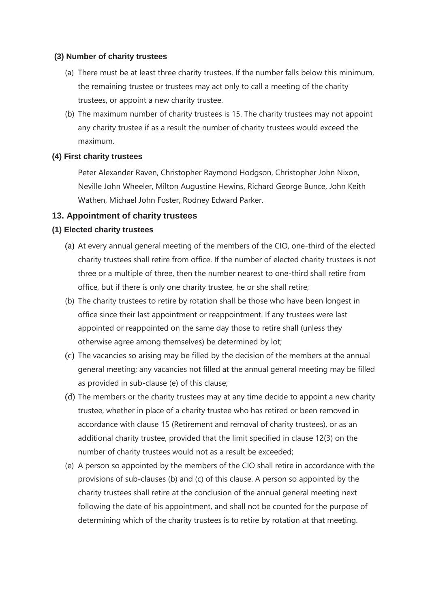#### **(3) Number of charity trustees**

- (a) There must be at least three charity trustees. If the number falls below this minimum, the remaining trustee or trustees may act only to call a meeting of the charity trustees, or appoint a new charity trustee.
- (b) The maximum number of charity trustees is 15. The charity trustees may not appoint any charity trustee if as a result the number of charity trustees would exceed the maximum.

#### **(4) First charity trustees**

Peter Alexander Raven, Christopher Raymond Hodgson, Christopher John Nixon, Neville John Wheeler, Milton Augustine Hewins, Richard George Bunce, John Keith Wathen, Michael John Foster, Rodney Edward Parker.

#### **13. Appointment of charity trustees**

#### **(1) Elected charity trustees**

- (a) At every annual general meeting of the members of the CIO, one-third of the elected charity trustees shall retire from office. If the number of elected charity trustees is not three or a multiple of three, then the number nearest to one-third shall retire from office, but if there is only one charity trustee, he or she shall retire;
- (b) The charity trustees to retire by rotation shall be those who have been longest in office since their last appointment or reappointment. If any trustees were last appointed or reappointed on the same day those to retire shall (unless they otherwise agree among themselves) be determined by lot;
- (c) The vacancies so arising may be filled by the decision of the members at the annual general meeting; any vacancies not filled at the annual general meeting may be filled as provided in sub-clause (e) of this clause;
- (d) The members or the charity trustees may at any time decide to appoint a new charity trustee, whether in place of a charity trustee who has retired or been removed in accordance with clause 15 (Retirement and removal of charity trustees), or as an additional charity trustee, provided that the limit specified in clause 12(3) on the number of charity trustees would not as a result be exceeded;
- (e) A person so appointed by the members of the CIO shall retire in accordance with the provisions of sub-clauses (b) and (c) of this clause. A person so appointed by the charity trustees shall retire at the conclusion of the annual general meeting next following the date of his appointment, and shall not be counted for the purpose of determining which of the charity trustees is to retire by rotation at that meeting.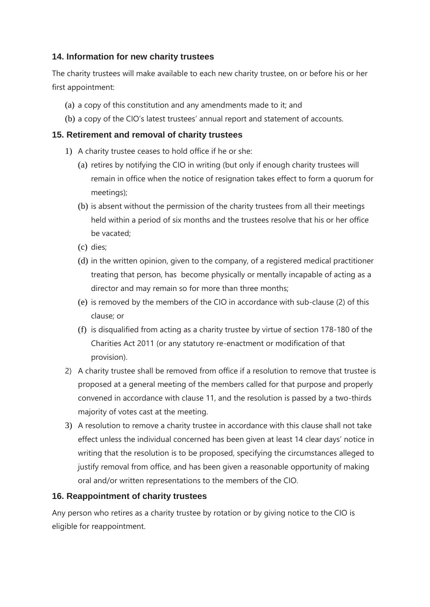## **14. Information for new charity trustees**

The charity trustees will make available to each new charity trustee, on or before his or her first appointment:

- (a) a copy of this constitution and any amendments made to it; and
- (b) a copy of the CIO's latest trustees' annual report and statement of accounts.

### **15. Retirement and removal of charity trustees**

- 1) A charity trustee ceases to hold office if he or she:
	- (a) retires by notifying the CIO in writing (but only if enough charity trustees will remain in office when the notice of resignation takes effect to form a quorum for meetings);
	- (b) is absent without the permission of the charity trustees from all their meetings held within a period of six months and the trustees resolve that his or her office be vacated;
	- (c) dies;
	- (d) in the written opinion, given to the company, of a registered medical practitioner treating that person, has become physically or mentally incapable of acting as a director and may remain so for more than three months;
	- (e) is removed by the members of the CIO in accordance with sub-clause (2) of this clause; or
	- (f) is disqualified from acting as a charity trustee by virtue of section 178-180 of the Charities Act 2011 (or any statutory re-enactment or modification of that provision).
- 2) A charity trustee shall be removed from office if a resolution to remove that trustee is proposed at a general meeting of the members called for that purpose and properly convened in accordance with clause 11, and the resolution is passed by a two-thirds majority of votes cast at the meeting.
- 3) A resolution to remove a charity trustee in accordance with this clause shall not take effect unless the individual concerned has been given at least 14 clear days' notice in writing that the resolution is to be proposed, specifying the circumstances alleged to justify removal from office, and has been given a reasonable opportunity of making oral and/or written representations to the members of the CIO.

### **16. Reappointment of charity trustees**

Any person who retires as a charity trustee by rotation or by giving notice to the CIO is eligible for reappointment.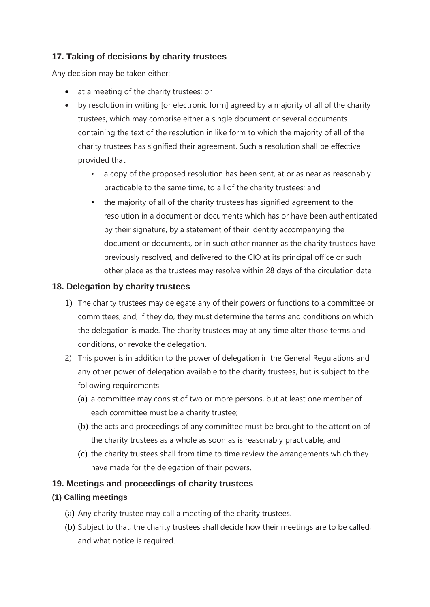## **17. Taking of decisions by charity trustees**

Any decision may be taken either:

- at a meeting of the charity trustees; or
- by resolution in writing [or electronic form] agreed by a majority of all of the charity trustees, which may comprise either a single document or several documents containing the text of the resolution in like form to which the majority of all of the charity trustees has signified their agreement. Such a resolution shall be effective provided that
	- a copy of the proposed resolution has been sent, at or as near as reasonably practicable to the same time, to all of the charity trustees; and
	- the majority of all of the charity trustees has signified agreement to the resolution in a document or documents which has or have been authenticated by their signature, by a statement of their identity accompanying the document or documents, or in such other manner as the charity trustees have previously resolved, and delivered to the CIO at its principal office or such other place as the trustees may resolve within 28 days of the circulation date

### **18. Delegation by charity trustees**

- 1) The charity trustees may delegate any of their powers or functions to a committee or committees, and, if they do, they must determine the terms and conditions on which the delegation is made. The charity trustees may at any time alter those terms and conditions, or revoke the delegation.
- 2) This power is in addition to the power of delegation in the General Regulations and any other power of delegation available to the charity trustees, but is subject to the following requirements –
	- (a) a committee may consist of two or more persons, but at least one member of each committee must be a charity trustee;
	- (b) the acts and proceedings of any committee must be brought to the attention of the charity trustees as a whole as soon as is reasonably practicable; and
	- (c) the charity trustees shall from time to time review the arrangements which they have made for the delegation of their powers.

### **19. Meetings and proceedings of charity trustees**

### **(1) Calling meetings**

- (a) Any charity trustee may call a meeting of the charity trustees.
- (b) Subject to that, the charity trustees shall decide how their meetings are to be called, and what notice is required.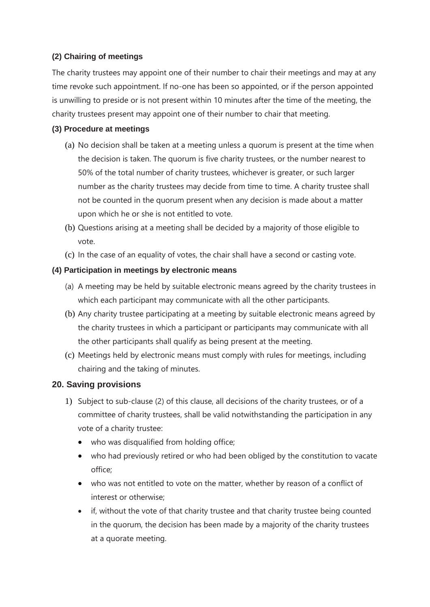#### **(2) Chairing of meetings**

The charity trustees may appoint one of their number to chair their meetings and may at any time revoke such appointment. If no-one has been so appointed, or if the person appointed is unwilling to preside or is not present within 10 minutes after the time of the meeting, the charity trustees present may appoint one of their number to chair that meeting.

#### **(3) Procedure at meetings**

- (a) No decision shall be taken at a meeting unless a quorum is present at the time when the decision is taken. The quorum is five charity trustees, or the number nearest to 50% of the total number of charity trustees, whichever is greater, or such larger number as the charity trustees may decide from time to time. A charity trustee shall not be counted in the quorum present when any decision is made about a matter upon which he or she is not entitled to vote.
- (b) Questions arising at a meeting shall be decided by a majority of those eligible to vote.
- (c) In the case of an equality of votes, the chair shall have a second or casting vote.

#### **(4) Participation in meetings by electronic means**

- (a) A meeting may be held by suitable electronic means agreed by the charity trustees in which each participant may communicate with all the other participants.
- (b) Any charity trustee participating at a meeting by suitable electronic means agreed by the charity trustees in which a participant or participants may communicate with all the other participants shall qualify as being present at the meeting.
- (c) Meetings held by electronic means must comply with rules for meetings, including chairing and the taking of minutes.

### **20. Saving provisions**

- 1) Subject to sub-clause (2) of this clause, all decisions of the charity trustees, or of a committee of charity trustees, shall be valid notwithstanding the participation in any vote of a charity trustee:
	- who was disqualified from holding office;
	- who had previously retired or who had been obliged by the constitution to vacate office;
	- who was not entitled to vote on the matter, whether by reason of a conflict of interest or otherwise;
	- if, without the vote of that charity trustee and that charity trustee being counted in the quorum, the decision has been made by a majority of the charity trustees at a quorate meeting.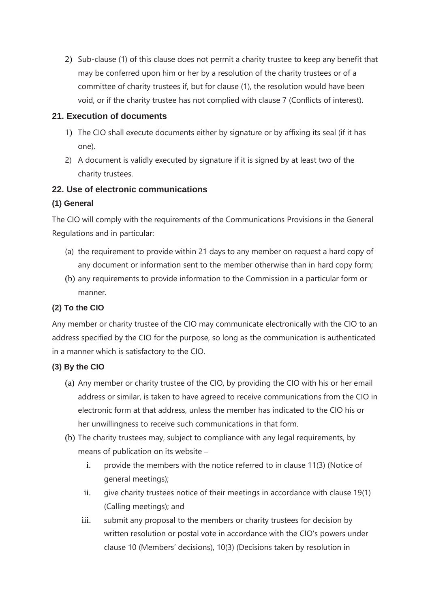2) Sub-clause (1) of this clause does not permit a charity trustee to keep any benefit that may be conferred upon him or her by a resolution of the charity trustees or of a committee of charity trustees if, but for clause (1), the resolution would have been void, or if the charity trustee has not complied with clause 7 (Conflicts of interest).

### **21. Execution of documents**

- 1) The CIO shall execute documents either by signature or by affixing its seal (if it has one).
- 2) A document is validly executed by signature if it is signed by at least two of the charity trustees.

# **22. Use of electronic communications**

## **(1) General**

The CIO will comply with the requirements of the Communications Provisions in the General Regulations and in particular:

- (a) the requirement to provide within 21 days to any member on request a hard copy of any document or information sent to the member otherwise than in hard copy form;
- (b) any requirements to provide information to the Commission in a particular form or manner.

# **(2) To the CIO**

Any member or charity trustee of the CIO may communicate electronically with the CIO to an address specified by the CIO for the purpose, so long as the communication is authenticated in a manner which is satisfactory to the CIO.

### **(3) By the CIO**

- (a) Any member or charity trustee of the CIO, by providing the CIO with his or her email address or similar, is taken to have agreed to receive communications from the CIO in electronic form at that address, unless the member has indicated to the CIO his or her unwillingness to receive such communications in that form.
- (b) The charity trustees may, subject to compliance with any legal requirements, by means of publication on its website –
	- i. provide the members with the notice referred to in clause 11(3) (Notice of general meetings);
	- ii. give charity trustees notice of their meetings in accordance with clause 19(1) (Calling meetings); and
	- iii. submit any proposal to the members or charity trustees for decision by written resolution or postal vote in accordance with the CIO's powers under clause 10 (Members' decisions), 10(3) (Decisions taken by resolution in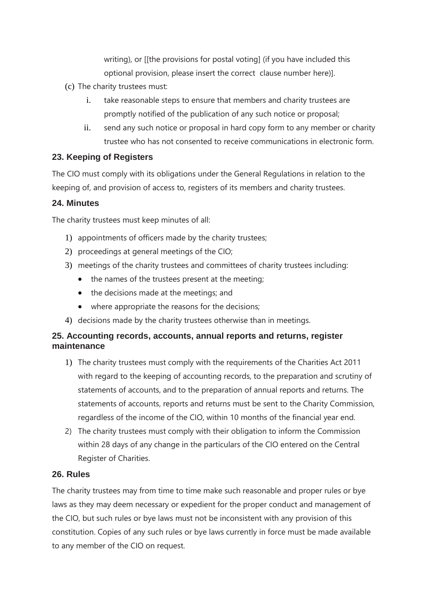writing), or [[the provisions for postal voting] (if you have included this optional provision, please insert the correct clause number here)].

- (c) The charity trustees must:
	- i. take reasonable steps to ensure that members and charity trustees are promptly notified of the publication of any such notice or proposal;
	- ii. send any such notice or proposal in hard copy form to any member or charity trustee who has not consented to receive communications in electronic form.

#### **23. Keeping of Registers**

The CIO must comply with its obligations under the General Regulations in relation to the keeping of, and provision of access to, registers of its members and charity trustees.

#### **24. Minutes**

The charity trustees must keep minutes of all:

- 1) appointments of officers made by the charity trustees;
- 2) proceedings at general meetings of the CIO;
- 3) meetings of the charity trustees and committees of charity trustees including:
	- $\bullet$  the names of the trustees present at the meeting;
	- the decisions made at the meetings; and
	- where appropriate the reasons for the decisions;
- 4) decisions made by the charity trustees otherwise than in meetings.

#### **25. Accounting records, accounts, annual reports and returns, register maintenance**

- 1) The charity trustees must comply with the requirements of the Charities Act 2011 with regard to the keeping of accounting records, to the preparation and scrutiny of statements of accounts, and to the preparation of annual reports and returns. The statements of accounts, reports and returns must be sent to the Charity Commission, regardless of the income of the CIO, within 10 months of the financial year end.
- 2) The charity trustees must comply with their obligation to inform the Commission within 28 days of any change in the particulars of the CIO entered on the Central Register of Charities.

#### **26. Rules**

The charity trustees may from time to time make such reasonable and proper rules or bye laws as they may deem necessary or expedient for the proper conduct and management of the CIO, but such rules or bye laws must not be inconsistent with any provision of this constitution. Copies of any such rules or bye laws currently in force must be made available to any member of the CIO on request.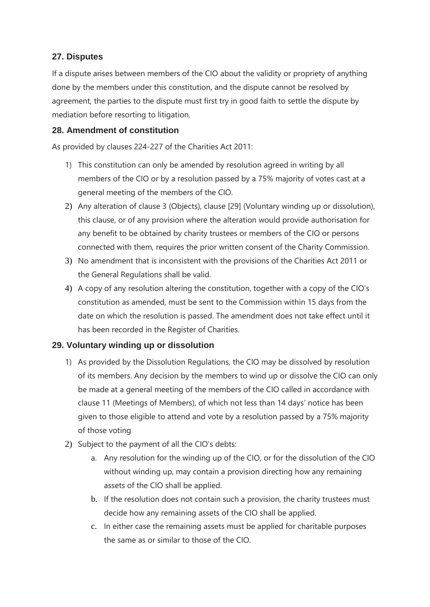## **27. Disputes**

If a dispute arises between members of the CIO about the validity or propriety of anything done by the members under this constitution, and the dispute cannot be resolved by agreement, the parties to the dispute must first try in good faith to settle the dispute by mediation before resorting to litigation.

#### **28. Amendment of constitution**

As provided by clauses 224-227 of the Charities Act 2011:

- 1) This constitution can only be amended by resolution agreed in writing by all members of the CIO or by a resolution passed by a 75% majority of votes cast at a general meeting of the members of the CIO.
- 2) Any alteration of clause 3 (Objects), clause [29] (Voluntary winding up or dissolution), this clause, or of any provision where the alteration would provide authorisation for any benefit to be obtained by charity trustees or members of the CIO or persons connected with them, requires the prior written consent of the Charity Commission.
- 3) No amendment that is inconsistent with the provisions of the Charities Act 2011 or the General Regulations shall be valid.
- 4) A copy of any resolution altering the constitution, together with a copy of the CIO's constitution as amended, must be sent to the Commission within 15 days from the date on which the resolution is passed. The amendment does not take effect until it has been recorded in the Register of Charities.

### **29. Voluntary winding up or dissolution**

- 1) As provided by the Dissolution Regulations, the CIO may be dissolved by resolution of its members. Any decision by the members to wind up or dissolve the CIO can only be made at a general meeting of the members of the CIO called in accordance with clause 11 (Meetings of Members), of which not less than 14 days' notice has been given to those eligible to attend and vote by a resolution passed by a 75% majority of those voting
- 2) Subject to the payment of all the CIO's debts:
	- a. Any resolution for the winding up of the CIO, or for the dissolution of the CIO without winding up, may contain a provision directing how any remaining assets of the CIO shall be applied.
	- b. If the resolution does not contain such a provision, the charity trustees must decide how any remaining assets of the CIO shall be applied.
	- c. In either case the remaining assets must be applied for charitable purposes the same as or similar to those of the CIO.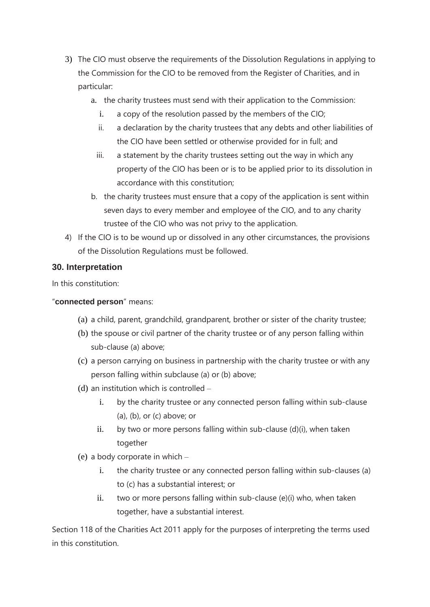- 3) The CIO must observe the requirements of the Dissolution Regulations in applying to the Commission for the CIO to be removed from the Register of Charities, and in particular:
	- a. the charity trustees must send with their application to the Commission:
		- i. a copy of the resolution passed by the members of the CIO;
		- ii. a declaration by the charity trustees that any debts and other liabilities of the CIO have been settled or otherwise provided for in full; and
		- iii. a statement by the charity trustees setting out the way in which any property of the CIO has been or is to be applied prior to its dissolution in accordance with this constitution;
	- b. the charity trustees must ensure that a copy of the application is sent within seven days to every member and employee of the CIO, and to any charity trustee of the CIO who was not privy to the application.
- 4) If the CIO is to be wound up or dissolved in any other circumstances, the provisions of the Dissolution Regulations must be followed.

### **30. Interpretation**

In this constitution:

#### "**connected person**" means:

- (a) a child, parent, grandchild, grandparent, brother or sister of the charity trustee;
- (b) the spouse or civil partner of the charity trustee or of any person falling within sub-clause (a) above;
- (c) a person carrying on business in partnership with the charity trustee or with any person falling within subclause (a) or (b) above;
- (d) an institution which is controlled
	- i. by the charity trustee or any connected person falling within sub-clause (a), (b), or (c) above; or
	- ii. by two or more persons falling within sub-clause (d)(i), when taken together
- (e) a body corporate in which
	- i. the charity trustee or any connected person falling within sub-clauses (a) to (c) has a substantial interest; or
	- ii. two or more persons falling within sub-clause (e)(i) who, when taken together, have a substantial interest.

Section 118 of the Charities Act 2011 apply for the purposes of interpreting the terms used in this constitution.